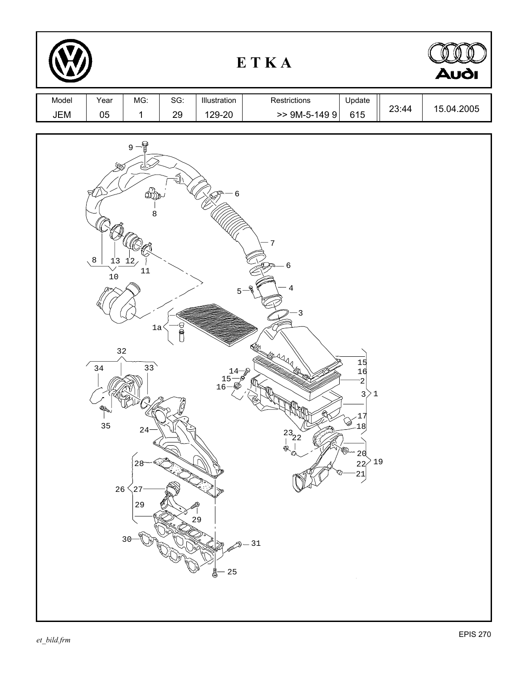|              | Audi                                                                                              |                                                                                                                 |             |                                                                    |                                                                                       |                                                                                                                                                   |       |            |
|--------------|---------------------------------------------------------------------------------------------------|-----------------------------------------------------------------------------------------------------------------|-------------|--------------------------------------------------------------------|---------------------------------------------------------------------------------------|---------------------------------------------------------------------------------------------------------------------------------------------------|-------|------------|
| Model<br>JEM | Year<br>$05\,$                                                                                    | MG:<br>$\mathbf{1}$                                                                                             | SG:<br>29   | Illustration<br>129-20                                             | Restrictions<br>$> 9M-5-1499$                                                         | Update<br>615                                                                                                                                     | 23:44 | 15.04.2005 |
|              | 900<br>8 <sub>1</sub><br>$10$<br>$3\,2$<br>$\frac{7}{34}$<br>Read<br>$\mathbf{I}$<br>35<br>$26\,$ | $9 - \frac{6}{9}$<br>⅏<br>8<br>$13 \frac{12}{2}$<br>$11\,$<br>1a<br>$\overline{33}$<br>$24 -$<br>27<br>29<br>30 | ৰ<br>$\cup$ | б<br>$5 -$<br>$14 - \circ$<br>$\frac{15}{16}$<br>29<br>$25\,$<br>ē | 7<br>- 6<br>4<br>_ବ<br>$-3$<br><b>Ally</b><br>$\frac{23}{1}$ $\frac{8}{2}$<br>ଭ<br>31 | $\begin{array}{c} 15 \\ 16 \end{array}$<br>2<br>3)1<br>17<br>۵<br>18<br>16)<br>20<br>$^{\circ}$ 19<br>$\overline{22}$<br>$\frac{21}{2}$<br>$\sim$ |       |            |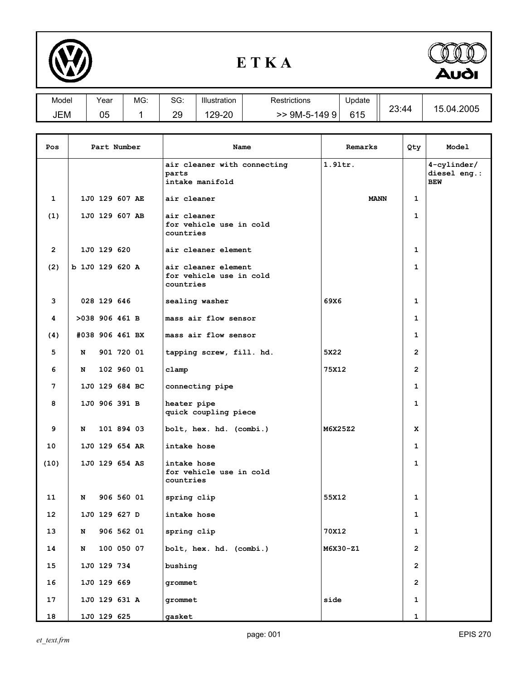

## **E T K A**



| Model | Year     | MG: | $\sim$<br>טכ. | Illustration | Restrictions | Update |                  | .04.2005<br>1 h |
|-------|----------|-----|---------------|--------------|--------------|--------|------------------|-----------------|
| JEM   | በፍ<br>uu |     | 29            | $29-20$      | 9M-5-1499    | 615    | າ $3.44$<br>∠∪.⊤ |                 |

| Pos          | Part Number     |                | Name       | Remarks                                                     | Qty         | Model          |                                              |
|--------------|-----------------|----------------|------------|-------------------------------------------------------------|-------------|----------------|----------------------------------------------|
|              |                 |                |            | air cleaner with connecting<br>parts<br>intake manifold     | $1.91$ tr.  |                | $4$ -cylinder/<br>diesel eng.:<br><b>BEW</b> |
| 1            |                 | 1J0 129 607 AE |            | air cleaner                                                 | <b>MANN</b> | 1              |                                              |
| (1)          |                 | 1J0 129 607 AB |            | air cleaner<br>for vehicle use in cold<br>countries         |             | $\mathbf 1$    |                                              |
| $\mathbf{2}$ |                 | 1J0 129 620    |            | air cleaner element                                         |             | 1              |                                              |
| (2)          | b 1J0 129 620 A |                |            | air cleaner element<br>for vehicle use in cold<br>countries |             | 1              |                                              |
| 3            |                 | 028 129 646    |            | sealing washer                                              | 69X6        | 1              |                                              |
| 4            | >038 906 461 B  |                |            | mass air flow sensor                                        |             | 1              |                                              |
| (4)          | #038 906 461 BX |                |            | mass air flow sensor                                        |             | 1              |                                              |
| 5            | N               |                | 901 720 01 | tapping screw, fill. hd.                                    | 5X22        | $\overline{2}$ |                                              |
| 6            | N               |                | 102 960 01 | clamp                                                       | 75X12       | $\overline{2}$ |                                              |
| 7            |                 | 1J0 129 684 BC |            | connecting pipe                                             |             | 1              |                                              |
| 8            |                 | 1J0 906 391 B  |            | heater pipe<br>quick coupling piece                         |             | $\mathbf{1}$   |                                              |
| 9            | N               |                | 101 894 03 | bolt, hex. hd. (combi.)                                     | M6X25Z2     | x              |                                              |
| 10           |                 | 1J0 129 654 AR |            | intake hose                                                 |             | 1              |                                              |
| (10)         |                 | 1J0 129 654 AS |            | intake hose<br>for vehicle use in cold<br>countries         |             | $\mathbf{1}$   |                                              |
| 11           | N               |                | 906 560 01 | spring clip                                                 | 55X12       | 1              |                                              |
| 12           |                 | 1J0 129 627 D  |            | intake hose                                                 |             | 1              |                                              |
| 13           | N               |                | 906 562 01 | spring clip                                                 | 70X12       | 1              |                                              |
| 14           | N               |                | 100 050 07 | bolt, hex. hd. (combi.)                                     | M6X30-Z1    | $\overline{2}$ |                                              |
| 15           |                 | 1J0 129 734    |            | bushing                                                     |             | $\mathbf{2}$   |                                              |
| 16           |                 | 1J0 129 669    |            | grommet                                                     |             | $\mathbf{2}$   |                                              |
| 17           |                 | 1J0 129 631 A  |            | grommet                                                     | side        | 1              |                                              |
| 18           |                 | 1J0 129 625    |            | gasket                                                      |             | 1              |                                              |